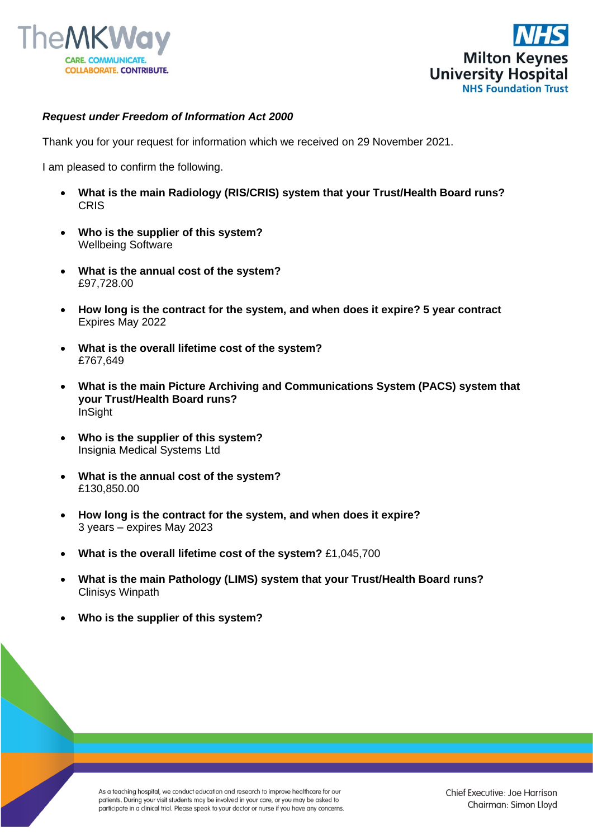



## *Request under Freedom of Information Act 2000*

Thank you for your request for information which we received on 29 November 2021.

I am pleased to confirm the following.

- **What is the main Radiology (RIS/CRIS) system that your Trust/Health Board runs? CRIS**
- **Who is the supplier of this system?** Wellbeing Software
- **What is the annual cost of the system?** £97,728.00
- **How long is the contract for the system, and when does it expire? 5 year contract** Expires May 2022
- **What is the overall lifetime cost of the system?** £767,649
- **What is the main Picture Archiving and Communications System (PACS) system that your Trust/Health Board runs?** InSight
- **Who is the supplier of this system?** Insignia Medical Systems Ltd
- **What is the annual cost of the system?** £130,850.00
- **How long is the contract for the system, and when does it expire?** 3 years – expires May 2023
- **What is the overall lifetime cost of the system?** £1,045,700
- **What is the main Pathology (LIMS) system that your Trust/Health Board runs?** Clinisys Winpath
- **Who is the supplier of this system?**

As a teaching hospital, we conduct education and research to improve healthcare for our patients. During your visit students may be involved in your care, or you may be asked to participate in a clinical trial. Please speak to your doctor or nurse if you have any concerns.